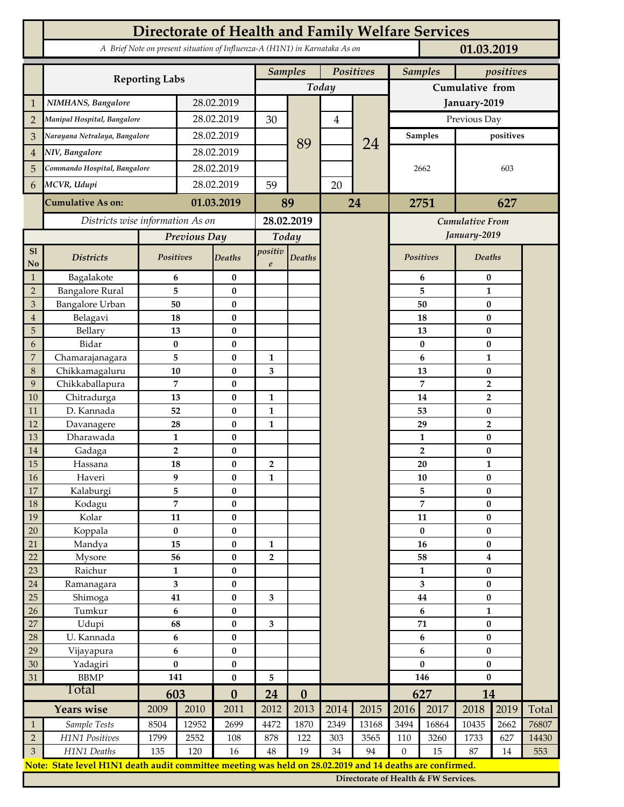|                | Directorate of Health and Family Welfare Services                                                                       |                              |                  |                       |                             |                             |                |                        |                  |                                      |                                      |      |       |  |
|----------------|-------------------------------------------------------------------------------------------------------------------------|------------------------------|------------------|-----------------------|-----------------------------|-----------------------------|----------------|------------------------|------------------|--------------------------------------|--------------------------------------|------|-------|--|
|                | A Brief Note on present situation of Influenza-A (H1N1) in Karnataka As on<br>01.03.2019                                |                              |                  |                       |                             |                             |                |                        |                  |                                      |                                      |      |       |  |
|                |                                                                                                                         |                              |                  |                       |                             | <b>Samples</b><br>Positives |                |                        |                  | <b>Samples</b><br>positives          |                                      |      |       |  |
|                | <b>Reporting Labs</b>                                                                                                   |                              |                  |                       |                             |                             | Today          |                        |                  |                                      | Cumulative from                      |      |       |  |
| 1              | NIMHANS, Bangalore                                                                                                      | 28.02.2019                   |                  |                       |                             |                             |                | January-2019           |                  |                                      |                                      |      |       |  |
| $\overline{2}$ | Manipal Hospital, Bangalore                                                                                             |                              |                  | 28.02.2019            |                             |                             | $\overline{4}$ |                        | Previous Day     |                                      |                                      |      |       |  |
| 3              | Narayana Netralaya, Bangalore                                                                                           |                              | 28.02.2019       |                       | 30                          |                             |                |                        | <b>Samples</b>   |                                      | positives                            |      |       |  |
| $\overline{4}$ | NIV, Bangalore                                                                                                          |                              |                  | 28.02.2019            |                             | 89                          |                | 24                     |                  |                                      |                                      |      |       |  |
| 5              |                                                                                                                         | Commando Hospital, Bangalore |                  | 28.02.2019            |                             |                             |                |                        | 2662             |                                      | 603                                  |      |       |  |
| 6              | MCVR, Udupi                                                                                                             |                              | 28.02.2019       |                       | 59                          |                             | 20             |                        |                  |                                      |                                      |      |       |  |
|                | <b>Cumulative As on:</b>                                                                                                | 01.03.2019                   |                  |                       | 89                          | 24                          |                | 2751                   |                  | 627                                  |                                      |      |       |  |
|                | Districts wise information As on                                                                                        |                              |                  | 28.02.2019            |                             |                             |                | <b>Cumulative From</b> |                  |                                      |                                      |      |       |  |
|                |                                                                                                                         | Previous Day                 |                  | Today                 |                             |                             |                | January-2019           |                  |                                      |                                      |      |       |  |
| SI<br>No       | <b>Districts</b>                                                                                                        | Positives                    |                  | <b>Deaths</b>         | positiv<br>$\boldsymbol{e}$ | <b>Deaths</b>               |                |                        |                  | Positives                            | Deaths                               |      |       |  |
| $\mathbf{1}$   | Bagalakote                                                                                                              | 6                            |                  | $\bf{0}$              |                             |                             |                |                        |                  | 6                                    | $\bf{0}$                             |      |       |  |
| $\overline{2}$ | <b>Bangalore Rural</b>                                                                                                  | 5                            |                  | $\bf{0}$              |                             |                             |                |                        |                  | 5                                    | $\mathbf{1}$                         |      |       |  |
| $\mathfrak{Z}$ | Bangalore Urban                                                                                                         | 50                           |                  | $\bf{0}$              |                             |                             |                |                        |                  | 50                                   | $\bf{0}$                             |      |       |  |
| $\overline{4}$ | Belagavi                                                                                                                | 18                           |                  | $\bf{0}$              |                             |                             |                |                        |                  | 18                                   | $\bf{0}$                             |      |       |  |
| 5              | Bellary                                                                                                                 | 13                           |                  | $\bf{0}$              |                             |                             |                |                        |                  | 13                                   | $\bf{0}$                             |      |       |  |
| 6              | Bidar                                                                                                                   | $\bf{0}$                     |                  | $\bf{0}$              |                             |                             |                |                        | $\bf{0}$         |                                      | $\bf{0}$                             |      |       |  |
| $\overline{7}$ | Chamarajanagara                                                                                                         | 5                            |                  | $\bf{0}$              | $\mathbf{1}$                |                             |                |                        |                  | 6                                    | $\mathbf{1}$                         |      |       |  |
| $\,8\,$        | Chikkamagaluru                                                                                                          | 10                           |                  | $\bf{0}$              | 3                           |                             |                |                        |                  | 13                                   | $\bf{0}$                             |      |       |  |
| 9<br>10        | Chikkaballapura<br>Chitradurga                                                                                          | 7<br>13                      |                  | $\bf{0}$<br>$\bf{0}$  | $\mathbf{1}$                |                             |                |                        |                  | 7<br>14                              | $\overline{2}$                       |      |       |  |
| 11             | D. Kannada                                                                                                              | 52                           |                  | $\bf{0}$              | $\mathbf{1}$                |                             |                |                        |                  | 53                                   | $\overline{2}$<br>$\bf{0}$           |      |       |  |
| 12             | Davanagere                                                                                                              | 28                           |                  | $\bf{0}$              | $\mathbf{1}$                |                             |                |                        |                  | 29                                   | $\overline{2}$                       |      |       |  |
| 13             | Dharawada                                                                                                               | $\mathbf{1}$                 |                  | $\bf{0}$              |                             |                             |                |                        |                  | 1                                    | $\bf{0}$                             |      |       |  |
| 14             | Gadaga                                                                                                                  | $\overline{\mathbf{2}}$      |                  | $\bf{0}$              |                             |                             |                |                        |                  | $\overline{2}$                       | $\bf{0}$                             |      |       |  |
| 15             | Hassana                                                                                                                 | 18                           |                  | $\bf{0}$              | $\overline{2}$              |                             |                |                        |                  | 20                                   | 1                                    |      |       |  |
| $16\,$         | Haveri                                                                                                                  | 9                            |                  | 0                     | 1                           |                             |                |                        | ${\bf 10}$       |                                      | $\pmb{0}$                            |      |       |  |
| 17             | Kalaburgi                                                                                                               | 5                            |                  | $\bf{0}$              |                             |                             |                |                        |                  | 5                                    | $\bf{0}$                             |      |       |  |
| 18             | Kodagu                                                                                                                  | 7                            |                  | $\bf{0}$              |                             |                             |                |                        |                  | 7                                    | $\bf{0}$                             |      |       |  |
| 19             | Kolar                                                                                                                   | 11                           |                  | $\pmb{0}$             |                             |                             |                |                        | 11               |                                      | $\bf{0}$                             |      |       |  |
| 20             | Koppala                                                                                                                 | $\pmb{0}$                    |                  | $\pmb{0}$             |                             |                             |                |                        |                  | $\bf{0}$                             | $\bf{0}$                             |      |       |  |
| 21<br>22       | Mandya<br>Mysore                                                                                                        | 15<br>56                     |                  | $\bf{0}$<br>$\pmb{0}$ | 1<br>$\overline{2}$         |                             |                |                        | 16<br>58         |                                      | $\pmb{0}$<br>$\overline{\mathbf{4}}$ |      |       |  |
| 23             | Raichur                                                                                                                 | $\mathbf{1}$                 |                  | $\bf{0}$              |                             |                             |                |                        |                  | $\mathbf{1}$                         | $\bf{0}$                             |      |       |  |
| $24\,$         | Ramanagara                                                                                                              | 3                            |                  | $\pmb{0}$             |                             |                             |                |                        | 3                |                                      | $\bf{0}$                             |      |       |  |
| $25\,$         | Shimoga                                                                                                                 | 41                           |                  | $\pmb{0}$             | 3                           |                             |                |                        |                  | $\bf 44$                             | $\pmb{0}$                            |      |       |  |
| 26             | Tumkur                                                                                                                  | 6                            |                  | $\bf{0}$              |                             |                             |                |                        | 6                |                                      | $\mathbf{1}$                         |      |       |  |
| 27             | Udupi                                                                                                                   | 68                           |                  | $\pmb{0}$             | $\overline{\mathbf{3}}$     |                             |                |                        | 71               |                                      | $\bf{0}$                             |      |       |  |
| 28             | U. Kannada                                                                                                              | 6                            |                  | $\pmb{0}$             |                             |                             |                |                        | 6                |                                      | $\bf{0}$                             |      |       |  |
| 29             | Vijayapura                                                                                                              | 6                            |                  | $\bf{0}$              |                             |                             |                |                        | 6                |                                      | $\bf{0}$                             |      |       |  |
| 30             | Yadagiri                                                                                                                | $\pmb{0}$                    |                  | $\pmb{0}$             |                             |                             |                |                        | $\bf{0}$         |                                      | $\pmb{0}$                            |      |       |  |
| 31             | <b>BBMP</b>                                                                                                             |                              | 141<br>$\pmb{0}$ |                       | 5                           |                             |                |                        | 146              |                                      | $\bf{0}$                             |      |       |  |
|                | Total                                                                                                                   | 603                          |                  | $\bf{0}$              | 24                          | $\boldsymbol{0}$            |                |                        |                  | 627                                  | 14                                   |      |       |  |
|                | Years wise                                                                                                              | 2009                         | 2010             | 2011                  | 2012                        | 2013                        | 2014           | 2015                   | 2016             | 2017                                 | 2018                                 | 2019 | Total |  |
| $\mathbf{1}$   | Sample Tests                                                                                                            | 8504                         | 12952            | 2699                  | 4472                        | 1870                        | 2349           | 13168                  | 3494             | 16864                                | 10435                                | 2662 | 76807 |  |
| $\overline{2}$ | H1N1 Positives                                                                                                          | 1799                         | 2552             | $108\,$               | 878                         | 122                         | 303            | 3565                   | 110              | 3260                                 | 1733                                 | 627  | 14430 |  |
| $\mathfrak{Z}$ | H1N1 Deaths<br>Note: State level H1N1 death audit committee meeting was held on 28.02.2019 and 14 deaths are confirmed. | 135                          | 120              | 16                    | 48                          | 19                          | 34             | 94                     | $\boldsymbol{0}$ | 15                                   | 87                                   | 14   | 553   |  |
|                |                                                                                                                         |                              |                  |                       |                             |                             |                |                        |                  | Directorate of Health & FW Services. |                                      |      |       |  |